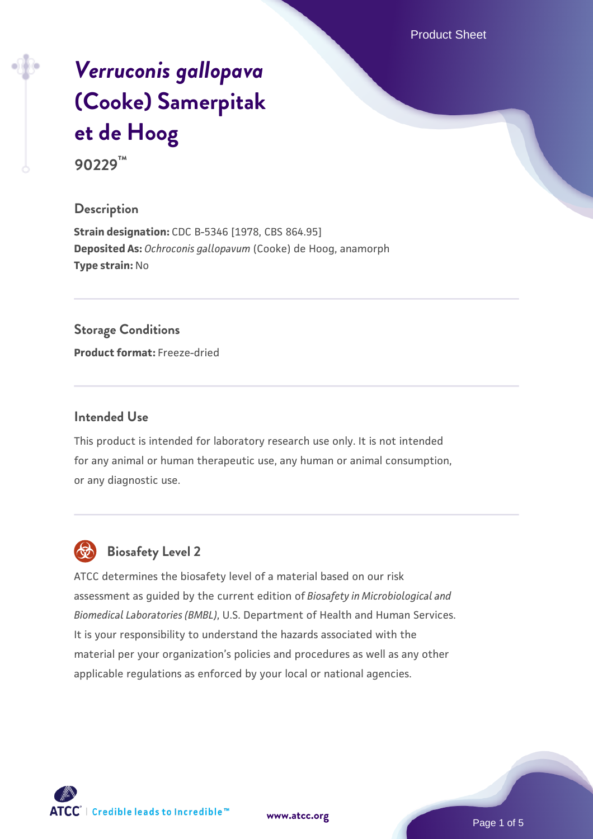Product Sheet

# *[Verruconis gallopava](https://www.atcc.org/products/90229)* **[\(Cooke\) Samerpitak](https://www.atcc.org/products/90229) [et de Hoog](https://www.atcc.org/products/90229)**

**90229™**

#### **Description**

**Strain designation:** CDC B-5346 [1978, CBS 864.95] **Deposited As:** *Ochroconis gallopavum* (Cooke) de Hoog, anamorph **Type strain:** No

#### **Storage Conditions**

**Product format:** Freeze-dried

#### **Intended Use**

This product is intended for laboratory research use only. It is not intended for any animal or human therapeutic use, any human or animal consumption, or any diagnostic use.



## **Biosafety Level 2**

ATCC determines the biosafety level of a material based on our risk assessment as guided by the current edition of *Biosafety in Microbiological and Biomedical Laboratories (BMBL)*, U.S. Department of Health and Human Services. It is your responsibility to understand the hazards associated with the material per your organization's policies and procedures as well as any other applicable regulations as enforced by your local or national agencies.



**[www.atcc.org](http://www.atcc.org)**

Page 1 of 5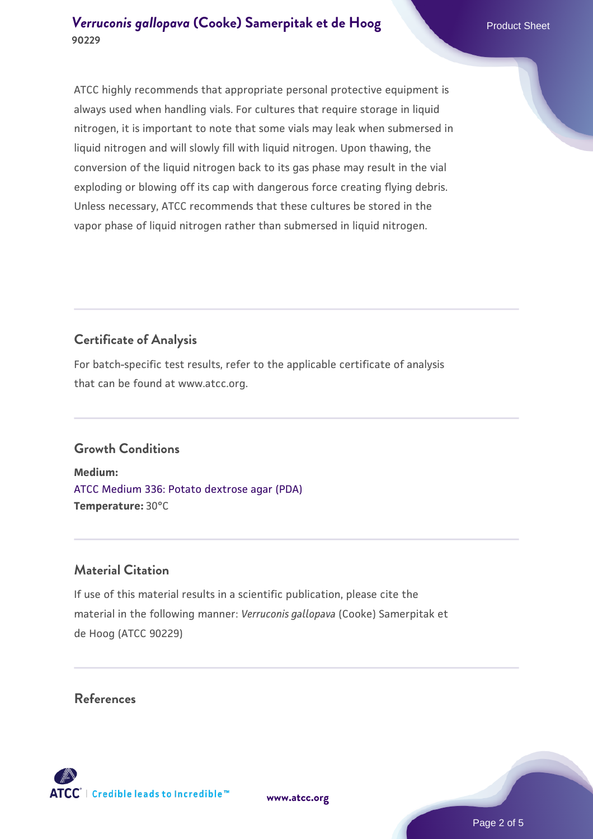ATCC highly recommends that appropriate personal protective equipment is always used when handling vials. For cultures that require storage in liquid nitrogen, it is important to note that some vials may leak when submersed in liquid nitrogen and will slowly fill with liquid nitrogen. Upon thawing, the conversion of the liquid nitrogen back to its gas phase may result in the vial exploding or blowing off its cap with dangerous force creating flying debris. Unless necessary, ATCC recommends that these cultures be stored in the vapor phase of liquid nitrogen rather than submersed in liquid nitrogen.

# **Certificate of Analysis**

For batch-specific test results, refer to the applicable certificate of analysis that can be found at www.atcc.org.

## **Growth Conditions**

**Medium:**  [ATCC Medium 336: Potato dextrose agar \(PDA\)](https://www.atcc.org/-/media/product-assets/documents/microbial-media-formulations/3/3/6/atcc-medium-336.pdf?rev=d9160ad44d934cd8b65175461abbf3b9) **Temperature:** 30°C

## **Material Citation**

If use of this material results in a scientific publication, please cite the material in the following manner: *Verruconis gallopava* (Cooke) Samerpitak et de Hoog (ATCC 90229)

## **References**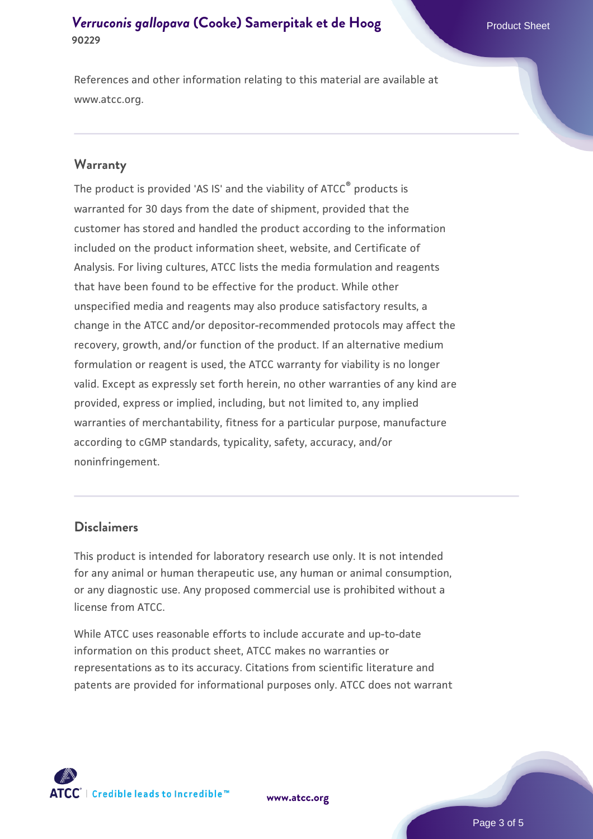References and other information relating to this material are available at www.atcc.org.

#### **Warranty**

The product is provided 'AS IS' and the viability of ATCC® products is warranted for 30 days from the date of shipment, provided that the customer has stored and handled the product according to the information included on the product information sheet, website, and Certificate of Analysis. For living cultures, ATCC lists the media formulation and reagents that have been found to be effective for the product. While other unspecified media and reagents may also produce satisfactory results, a change in the ATCC and/or depositor-recommended protocols may affect the recovery, growth, and/or function of the product. If an alternative medium formulation or reagent is used, the ATCC warranty for viability is no longer valid. Except as expressly set forth herein, no other warranties of any kind are provided, express or implied, including, but not limited to, any implied warranties of merchantability, fitness for a particular purpose, manufacture according to cGMP standards, typicality, safety, accuracy, and/or noninfringement.

#### **Disclaimers**

This product is intended for laboratory research use only. It is not intended for any animal or human therapeutic use, any human or animal consumption, or any diagnostic use. Any proposed commercial use is prohibited without a license from ATCC.

While ATCC uses reasonable efforts to include accurate and up-to-date information on this product sheet, ATCC makes no warranties or representations as to its accuracy. Citations from scientific literature and patents are provided for informational purposes only. ATCC does not warrant



**[www.atcc.org](http://www.atcc.org)**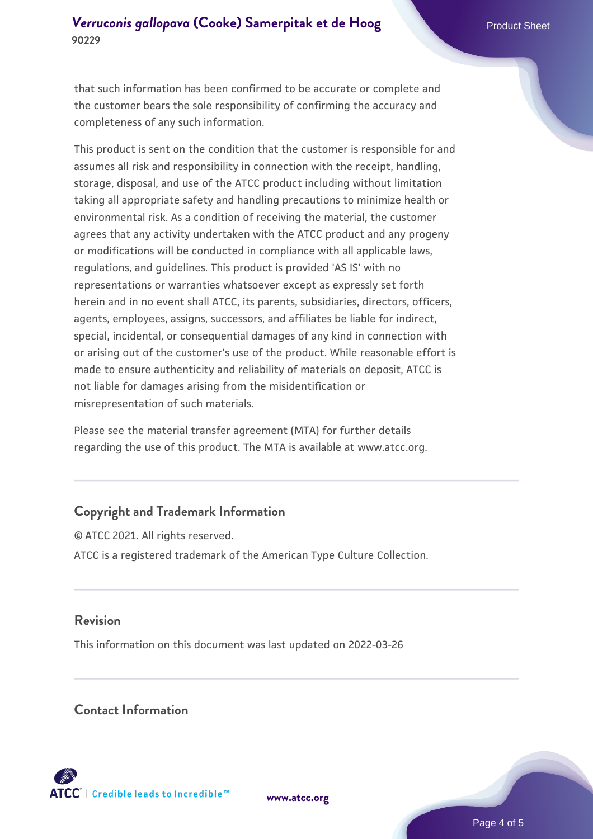that such information has been confirmed to be accurate or complete and the customer bears the sole responsibility of confirming the accuracy and completeness of any such information.

This product is sent on the condition that the customer is responsible for and assumes all risk and responsibility in connection with the receipt, handling, storage, disposal, and use of the ATCC product including without limitation taking all appropriate safety and handling precautions to minimize health or environmental risk. As a condition of receiving the material, the customer agrees that any activity undertaken with the ATCC product and any progeny or modifications will be conducted in compliance with all applicable laws, regulations, and guidelines. This product is provided 'AS IS' with no representations or warranties whatsoever except as expressly set forth herein and in no event shall ATCC, its parents, subsidiaries, directors, officers, agents, employees, assigns, successors, and affiliates be liable for indirect, special, incidental, or consequential damages of any kind in connection with or arising out of the customer's use of the product. While reasonable effort is made to ensure authenticity and reliability of materials on deposit, ATCC is not liable for damages arising from the misidentification or misrepresentation of such materials.

Please see the material transfer agreement (MTA) for further details regarding the use of this product. The MTA is available at www.atcc.org.

## **Copyright and Trademark Information**

© ATCC 2021. All rights reserved. ATCC is a registered trademark of the American Type Culture Collection.

#### **Revision**

This information on this document was last updated on 2022-03-26

#### **Contact Information**



**[www.atcc.org](http://www.atcc.org)**